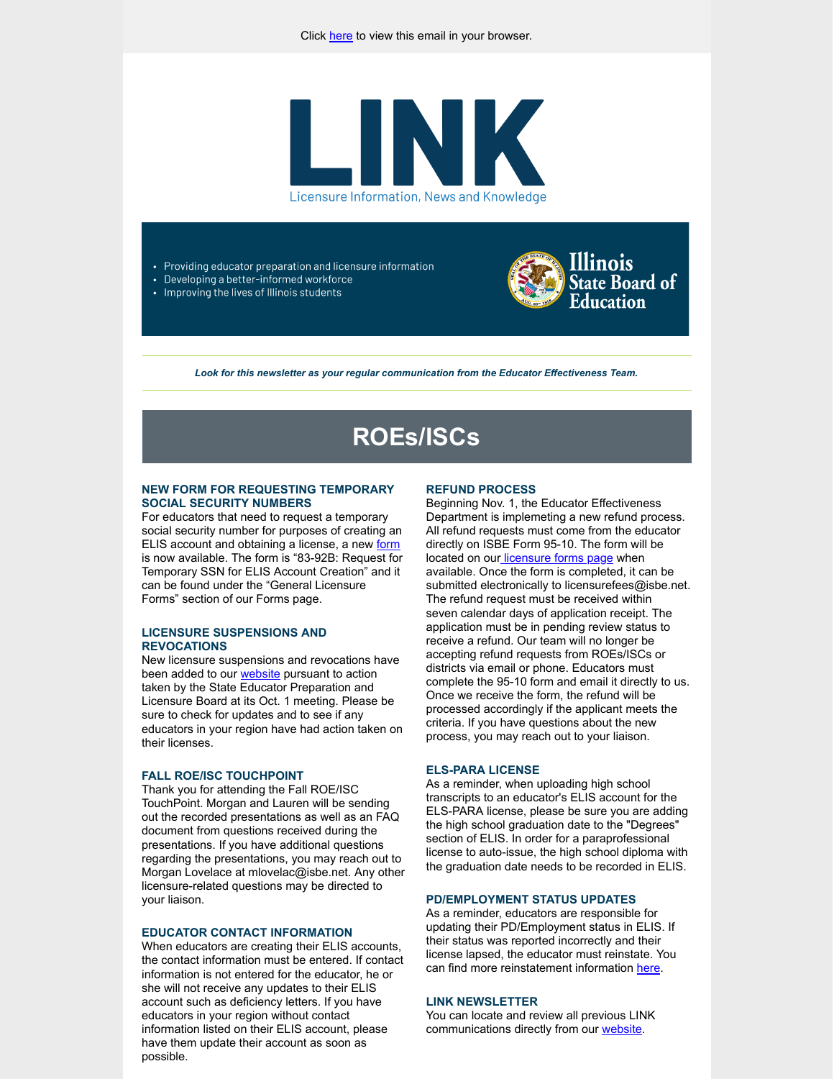

• Providing educator preparation and licensure information

Developing a better-informed workforce • Improving the lives of Illinois students



*Look for this newsletter as your regular communication from the Educator Effectiveness Team.*

# **ROEs/ISCs**

#### **NEW FORM FOR REQUESTING TEMPORARY SOCIAL SECURITY NUMBERS**

For educators that need to request a temporary social security number for purposes of creating an ELIS account and obtaining a license, a new [form](http://link.isbe.net/c/6/?T=OTAyMDg4NDQ%3AMDItYjIxMjkzLTlhM2YyY2I0ZDcwMjQ4NDhiNjBmMmZjY2ZiZmIzYTBm%3AbWxvdmVsYWNAaXNiZS5uZXQ%3AY29udGFjdC02NTIxMDIyOGU1MWJlYzExYjZlNjAwMGQzYTMzNjBlNC02NWI2NjVkNDgzZmM0Mjg0YWEwY2E3NDgxOGIzNGQwMg%3AdHJ1ZQ%3AMg%3A%3AaHR0cHM6Ly93d3cuaXNiZS5uZXQvRG9jdW1lbnRzLzgzLTkyQi5wZGY_X2NsZGVlPWJXeHZkbVZzWVdOQWFYTmlaUzV1WlhRJTNkJnJlY2lwaWVudGlkPWNvbnRhY3QtNjUyMTAyMjhlNTFiZWMxMWI2ZTYwMDBkM2EzMzYwZTQtNjViNjY1ZDQ4M2ZjNDI4NGFhMGNhNzQ4MThiMzRkMDImZXNpZD05ZGNlNWRmZS1mNDMwLWVjMTEtYjZlNS0wMDBkM2E1YjQ1MTg&K=N0kWOgw1ngUqaYDiLmYDSg) is now available. The form is "83-92B: Request for Temporary SSN for ELIS Account Creation" and it can be found under the "General Licensure Forms" section of our Forms page.

### **LICENSURE SUSPENSIONS AND REVOCATIONS**

New licensure suspensions and revocations have been added to our **website** pursuant to action taken by the State Educator Preparation and Licensure Board at its Oct. 1 meeting. Please be sure to check for updates and to see if any educators in your region have had action taken on their licenses.

#### **FALL ROE/ISC TOUCHPOINT**

Thank you for attending the Fall ROE/ISC TouchPoint. Morgan and Lauren will be sending out the recorded presentations as well as an FAQ document from questions received during the presentations. If you have additional questions regarding the presentations, you may reach out to Morgan Lovelace at mlovelac@isbe.net. Any other licensure-related questions may be directed to your liaison.

#### **EDUCATOR CONTACT INFORMATION**

When educators are creating their ELIS accounts, the contact information must be entered. If contact information is not entered for the educator, he or she will not receive any updates to their ELIS account such as deficiency letters. If you have educators in your region without contact information listed on their ELIS account, please have them update their account as soon as possible.

#### **REFUND PROCESS**

Beginning Nov. 1, the Educator Effectiveness Department is implemeting a new refund process. All refund requests must come from the educator directly on ISBE Form 95-10. The form will be located on our [licensure forms page](http://link.isbe.net/c/6/?T=OTAyMDg4NDQ%3AMDItYjIxMjkzLTlhM2YyY2I0ZDcwMjQ4NDhiNjBmMmZjY2ZiZmIzYTBm%3AbWxvdmVsYWNAaXNiZS5uZXQ%3AY29udGFjdC02NTIxMDIyOGU1MWJlYzExYjZlNjAwMGQzYTMzNjBlNC02NWI2NjVkNDgzZmM0Mjg0YWEwY2E3NDgxOGIzNGQwMg%3AdHJ1ZQ%3ANA%3A%3AaHR0cHM6Ly93d3cuaXNiZS5uZXQvUGFnZXMvTGljZW5zdXJlLUZvcm1zLmFzcHg_X2NsZGVlPWJXeHZkbVZzWVdOQWFYTmlaUzV1WlhRJTNkJnJlY2lwaWVudGlkPWNvbnRhY3QtNjUyMTAyMjhlNTFiZWMxMWI2ZTYwMDBkM2EzMzYwZTQtNjViNjY1ZDQ4M2ZjNDI4NGFhMGNhNzQ4MThiMzRkMDImZXNpZD05ZGNlNWRmZS1mNDMwLWVjMTEtYjZlNS0wMDBkM2E1YjQ1MTg&K=VbY6VFAvPyQu-rOBhir7LQ) when available. Once the form is completed, it can be submitted electronically to licensurefees@isbe.net. The refund request must be received within seven calendar days of application receipt. The application must be in pending review status to receive a refund. Our team will no longer be accepting refund requests from ROEs/ISCs or districts via email or phone. Educators must complete the 95-10 form and email it directly to us. Once we receive the form, the refund will be processed accordingly if the applicant meets the criteria. If you have questions about the new process, you may reach out to your liaison.

#### **ELS-PARA LICENSE**

As a reminder, when uploading high school transcripts to an educator's ELIS account for the ELS-PARA license, please be sure you are adding the high school graduation date to the "Degrees" section of ELIS. In order for a paraprofessional license to auto-issue, the high school diploma with the graduation date needs to be recorded in ELIS.

#### **PD/EMPLOYMENT STATUS UPDATES**

As a reminder, educators are responsible for updating their PD/Employment status in ELIS. If their status was reported incorrectly and their license lapsed, the educator must reinstate. You can find more reinstatement information [here.](http://link.isbe.net/c/6/?T=OTAyMDg4NDQ%3AMDItYjIxMjkzLTlhM2YyY2I0ZDcwMjQ4NDhiNjBmMmZjY2ZiZmIzYTBm%3AbWxvdmVsYWNAaXNiZS5uZXQ%3AY29udGFjdC02NTIxMDIyOGU1MWJlYzExYjZlNjAwMGQzYTMzNjBlNC02NWI2NjVkNDgzZmM0Mjg0YWEwY2E3NDgxOGIzNGQwMg%3AdHJ1ZQ%3ANQ%3A%3AaHR0cHM6Ly93d3cuaXNiZS5uZXQvUGFnZXMvUmVpbnN0YXRlbWVudC5hc3B4P19jbGRlZT1iV3h2ZG1Wc1lXTkFhWE5pWlM1dVpYUSUzZCZyZWNpcGllbnRpZD1jb250YWN0LTY1MjEwMjI4ZTUxYmVjMTFiNmU2MDAwZDNhMzM2MGU0LTY1YjY2NWQ0ODNmYzQyODRhYTBjYTc0ODE4YjM0ZDAyJmVzaWQ9OWRjZTVkZmUtZjQzMC1lYzExLWI2ZTUtMDAwZDNhNWI0NTE4&K=Pooh4BZoroPS6umC1BXWGQ)

#### **LINK NEWSLETTER**

You can locate and review all previous LINK communications directly from our [website.](http://link.isbe.net/c/6/?T=OTAyMDg4NDQ%3AMDItYjIxMjkzLTlhM2YyY2I0ZDcwMjQ4NDhiNjBmMmZjY2ZiZmIzYTBm%3AbWxvdmVsYWNAaXNiZS5uZXQ%3AY29udGFjdC02NTIxMDIyOGU1MWJlYzExYjZlNjAwMGQzYTMzNjBlNC02NWI2NjVkNDgzZmM0Mjg0YWEwY2E3NDgxOGIzNGQwMg%3AdHJ1ZQ%3ANg%3A%3AaHR0cHM6Ly93d3cuaXNiZS5uZXQvUGFnZXMvTGljZW5zdXJlLmFzcHg_X2NsZGVlPWJXeHZkbVZzWVdOQWFYTmlaUzV1WlhRJTNkJnJlY2lwaWVudGlkPWNvbnRhY3QtNjUyMTAyMjhlNTFiZWMxMWI2ZTYwMDBkM2EzMzYwZTQtNjViNjY1ZDQ4M2ZjNDI4NGFhMGNhNzQ4MThiMzRkMDImZXNpZD05ZGNlNWRmZS1mNDMwLWVjMTEtYjZlNS0wMDBkM2E1YjQ1MTg&K=b5u9FbiEeGigczsUkNmPeg)